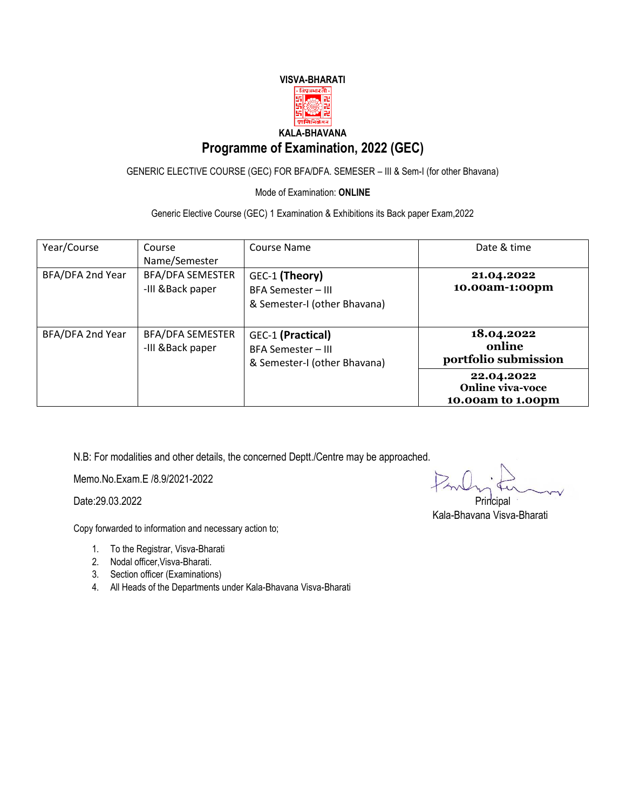

## **Programme of Examination, 2022 (GEC)**

GENERIC ELECTIVE COURSE (GEC) FOR BFA/DFA. SEMESER – III & Sem-I (for other Bhavana)

Mode of Examination: **ONLINE**

Generic Elective Course (GEC) 1 Examination & Exhibitions its Back paper Exam,2022

| Year/Course      | Course<br>Name/Semester                      | Course Name                                                             | Date & time                                                |
|------------------|----------------------------------------------|-------------------------------------------------------------------------|------------------------------------------------------------|
| BFA/DFA 2nd Year | <b>BFA/DFA SEMESTER</b><br>-III & Back paper | GEC-1 (Theory)<br>BFA Semester - III<br>& Semester-I (other Bhavana)    | 21.04.2022<br>10.00am-1:00pm                               |
| BFA/DFA 2nd Year | <b>BFA/DFA SEMESTER</b><br>-III & Back paper | GEC-1 (Practical)<br>BFA Semester - III<br>& Semester-I (other Bhavana) | 18.04.2022<br>online<br>portfolio submission               |
|                  |                                              |                                                                         | 22.04.2022<br><b>Online viva-voce</b><br>10.00am to 1.00pm |

N.B: For modalities and other details, the concerned Deptt./Centre may be approached.

Memo.No.Exam.E /8.9/2021-2022

Date:29.03.2022 Principal

Copy forwarded to information and necessary action to;

- 1. To the Registrar, Visva-Bharati
- 2. Nodal officer,Visva-Bharati.
- 3. Section officer (Examinations)
- 4. All Heads of the Departments under Kala-Bhavana Visva-Bharati

Kala-Bhavana Visva-Bharati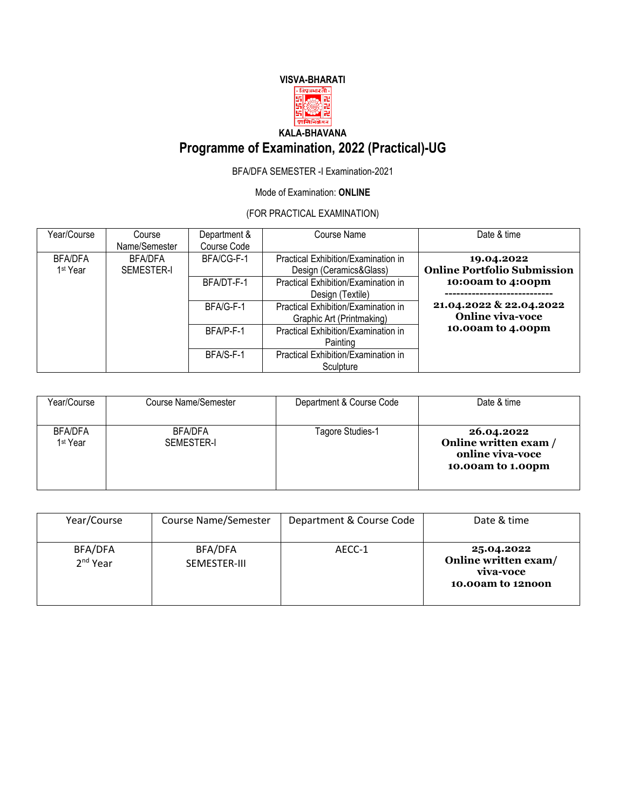## **VISVA-BHARATI**



# **Programme of Examination, 2022 (Practical)-UG**

### BFA/DFA SEMESTER -I Examination-2021

### Mode of Examination: **ONLINE**

## (FOR PRACTICAL EXAMINATION)

| Year/Course          | Course            | Department & | Course Name                         | Date & time                        |
|----------------------|-------------------|--------------|-------------------------------------|------------------------------------|
|                      | Name/Semester     | Course Code  |                                     |                                    |
| <b>BFA/DFA</b>       | <b>BFA/DFA</b>    | BFA/CG-F-1   | Practical Exhibition/Examination in | 19.04.2022                         |
| 1 <sup>st</sup> Year | <b>SEMESTER-I</b> |              | Design (Ceramics&Glass)             | <b>Online Portfolio Submission</b> |
|                      |                   | BFA/DT-F-1   | Practical Exhibition/Examination in | 10:00am to 4:00pm                  |
|                      |                   |              | Design (Textile)                    |                                    |
|                      |                   | BFA/G-F-1    | Practical Exhibition/Examination in | 21.04.2022 & 22.04.2022            |
|                      |                   |              | Graphic Art (Printmaking)           | <b>Online viva-voce</b>            |
|                      |                   | BFA/P-F-1    | Practical Exhibition/Examination in | 10.00am to 4.00pm                  |
|                      |                   |              | Painting                            |                                    |
|                      |                   | BFA/S-F-1    | Practical Exhibition/Examination in |                                    |
|                      |                   |              | Sculpture                           |                                    |

| Year/Course                            | Course Name/Semester         | Department & Course Code | Date & time                                                                |
|----------------------------------------|------------------------------|--------------------------|----------------------------------------------------------------------------|
| <b>BFA/DFA</b><br>1 <sup>st</sup> Year | <b>BFA/DFA</b><br>SEMESTER-I | Tagore Studies-1         | 26.04.2022<br>Online written exam<br>online viva-voce<br>10.00am to 1.00pm |

| Year/Course                     | Course Name/Semester    | Department & Course Code | Date & time                                                          |
|---------------------------------|-------------------------|--------------------------|----------------------------------------------------------------------|
| BFA/DFA<br>2 <sup>nd</sup> Year | BFA/DFA<br>SEMESTER-III | AECC-1                   | 25.04.2022<br>Online written exam/<br>viva-voce<br>10.00am to 12noon |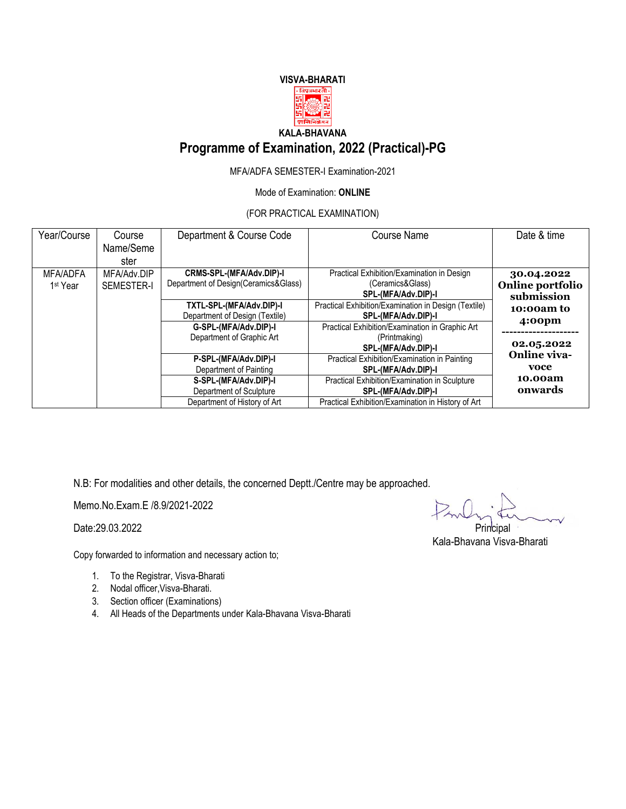#### **VISVA-BHARATI**  $. <sup>वि�पुत्रभारते</sup>$



## **KALA-BHAVANA**

## **Programme of Examination, 2022 (Practical)-PG**

MFA/ADFA SEMESTER-I Examination-2021

Mode of Examination: **ONLINE**

(FOR PRACTICAL EXAMINATION)

| Year/Course                             | Course<br>Name/Seme<br>ster                     | Department & Course Code                                         | <b>Course Name</b>                                                                      | Date & time                                  |
|-----------------------------------------|-------------------------------------------------|------------------------------------------------------------------|-----------------------------------------------------------------------------------------|----------------------------------------------|
| <b>MFA/ADFA</b><br>1 <sup>st</sup> Year | MFA/Adv.DIP<br><b>SEMESTER-I</b>                | CRMS-SPL-(MFA/Adv.DIP)-I<br>Department of Design(Ceramics&Glass) | Practical Exhibition/Examination in Design<br>(Ceramics&Glass)<br>SPL-(MFA/Adv.DIP)-I   | 30.04.2022<br>Online portfolio<br>submission |
|                                         |                                                 | TXTL-SPL-(MFA/Adv.DIP)-I<br>Department of Design (Textile)       | Practical Exhibition/Examination in Design (Textile)<br>SPL-(MFA/Adv.DIP)-I             | 10:00am to                                   |
|                                         |                                                 | G-SPL-(MFA/Adv.DIP)-I<br>Department of Graphic Art               | Practical Exhibition/Examination in Graphic Art<br>(Printmaking)<br>SPL-(MFA/Adv.DIP)-I | 4:00 <sub>pm</sub><br>02.05.2022             |
|                                         | P-SPL-(MFA/Adv.DIP)-I<br>Department of Painting |                                                                  | Practical Exhibition/Examination in Painting<br>SPL-(MFA/Adv.DIP)-I                     | <b>Online viva-</b><br>voce                  |
|                                         |                                                 | S-SPL-(MFA/Adv.DIP)-I<br>Department of Sculpture                 | Practical Exhibition/Examination in Sculpture<br>SPL-(MFA/Adv.DIP)-I                    | 10.00am<br>onwards                           |
|                                         |                                                 | Department of History of Art                                     | Practical Exhibition/Examination in History of Art                                      |                                              |

N.B: For modalities and other details, the concerned Deptt./Centre may be approached.

Memo.No.Exam.E /8.9/2021-2022

Date:29.03.2022 Principal

Copy forwarded to information and necessary action to;

- 1. To the Registrar, Visva-Bharati
- 2. Nodal officer,Visva-Bharati.
- 3. Section officer (Examinations)
- 4. All Heads of the Departments under Kala-Bhavana Visva-Bharati

Kala-Bhavana Visva-Bharati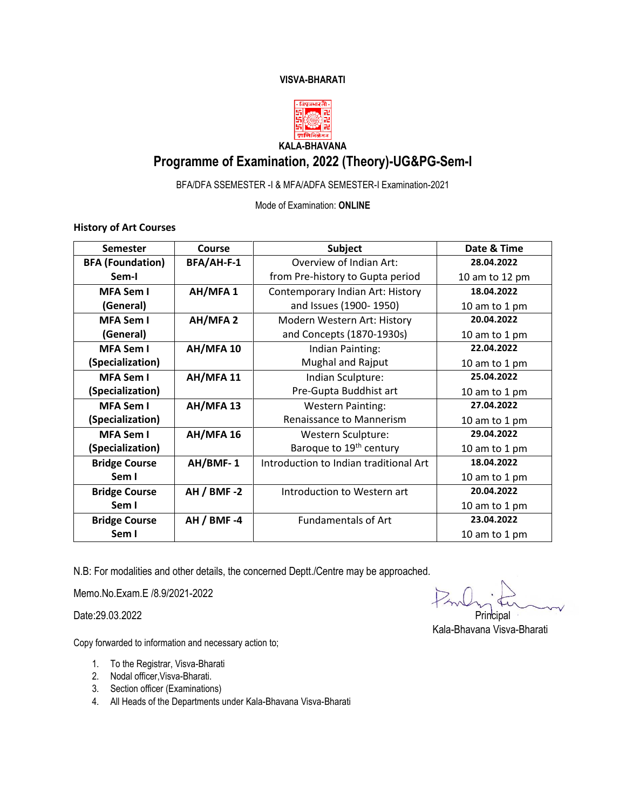### **VISVA-BHARATI**



## **KALA-BHAVANA Programme of Examination, 2022 (Theory)-UG&PG-Sem-I**

BFA/DFA SSEMESTER -I & MFA/ADFA SEMESTER-I Examination-2021

Mode of Examination: **ONLINE**

**History of Art Courses** 

| <b>Semester</b>         | Course            | Subject                                | Date & Time    |  |
|-------------------------|-------------------|----------------------------------------|----------------|--|
| <b>BFA (Foundation)</b> | BFA/AH-F-1        | Overview of Indian Art:                | 28.04.2022     |  |
| Sem-I                   |                   | from Pre-history to Gupta period       | 10 am to 12 pm |  |
| <b>MFA Sem I</b>        | AH/MFA 1          | Contemporary Indian Art: History       | 18.04.2022     |  |
| (General)               |                   | and Issues (1900-1950)                 | 10 am to 1 pm  |  |
| <b>MFA Sem I</b>        | AH/MFA 2          | Modern Western Art: History            | 20.04.2022     |  |
| (General)               |                   | and Concepts (1870-1930s)              | 10 am to 1 pm  |  |
| <b>MFA Sem I</b>        | AH/MFA 10         | Indian Painting:                       | 22.04.2022     |  |
| (Specialization)        |                   | <b>Mughal and Rajput</b>               | 10 am to 1 pm  |  |
| <b>MFA Sem I</b>        | AH/MFA 11         | Indian Sculpture:                      | 25.04.2022     |  |
| (Specialization)        |                   | Pre-Gupta Buddhist art                 | 10 am to 1 pm  |  |
| <b>MFA Sem I</b>        | AH/MFA 13         | <b>Western Painting:</b>               | 27.04.2022     |  |
| (Specialization)        |                   | Renaissance to Mannerism               | 10 am to 1 pm  |  |
| <b>MFA Sem I</b>        | AH/MFA 16         | Western Sculpture:                     | 29.04.2022     |  |
| (Specialization)        |                   | Baroque to 19 <sup>th</sup> century    | 10 am to 1 pm  |  |
| <b>Bridge Course</b>    | AH/BMF-1          | Introduction to Indian traditional Art | 18.04.2022     |  |
| Sem I                   |                   |                                        | 10 am to 1 pm  |  |
| <b>Bridge Course</b>    | <b>AH / BMF-2</b> | Introduction to Western art            | 20.04.2022     |  |
| Sem I                   |                   |                                        | 10 am to 1 pm  |  |
| <b>Bridge Course</b>    | <b>AH / BMF-4</b> | <b>Fundamentals of Art</b>             | 23.04.2022     |  |
| Sem I                   |                   |                                        | 10 am to 1 pm  |  |

N.B: For modalities and other details, the concerned Deptt./Centre may be approached.

Memo.No.Exam.E /8.9/2021-2022

Copy forwarded to information and necessary action to;

- 1. To the Registrar, Visva-Bharati
- 2. Nodal officer,Visva-Bharati.
- 3. Section officer (Examinations)
- 4. All Heads of the Departments under Kala-Bhavana Visva-Bharati

Date:29.03.2022 Principal

Kala-Bhavana Visva-Bharati